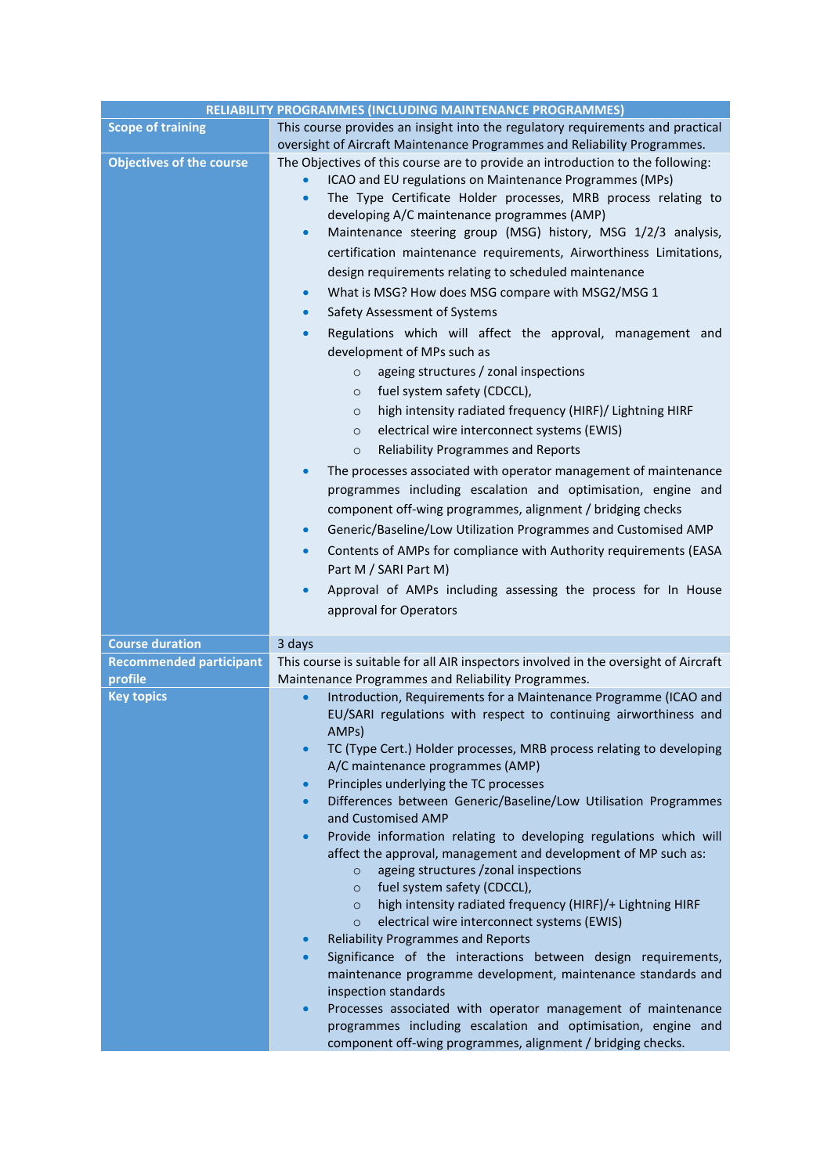| This course provides an insight into the regulatory requirements and practical<br><b>Scope of training</b><br>oversight of Aircraft Maintenance Programmes and Reliability Programmes.<br><b>Objectives of the course</b><br>The Objectives of this course are to provide an introduction to the following:<br>ICAO and EU regulations on Maintenance Programmes (MPs)<br>The Type Certificate Holder processes, MRB process relating to<br>$\bullet$<br>developing A/C maintenance programmes (AMP)<br>Maintenance steering group (MSG) history, MSG 1/2/3 analysis,<br>$\bullet$<br>certification maintenance requirements, Airworthiness Limitations,<br>design requirements relating to scheduled maintenance<br>What is MSG? How does MSG compare with MSG2/MSG 1<br>$\bullet$<br>Safety Assessment of Systems<br>$\bullet$<br>Regulations which will affect the approval, management and<br>$\bullet$<br>development of MPs such as<br>ageing structures / zonal inspections<br>$\circ$<br>fuel system safety (CDCCL),<br>$\circ$<br>high intensity radiated frequency (HIRF)/ Lightning HIRF<br>$\circ$<br>electrical wire interconnect systems (EWIS)<br>$\circ$<br><b>Reliability Programmes and Reports</b><br>$\circ$<br>The processes associated with operator management of maintenance<br>programmes including escalation and optimisation, engine and<br>component off-wing programmes, alignment / bridging checks<br>Generic/Baseline/Low Utilization Programmes and Customised AMP<br>$\bullet$<br>Contents of AMPs for compliance with Authority requirements (EASA<br>$\bullet$<br>Part M / SARI Part M)<br>Approval of AMPs including assessing the process for In House<br>$\bullet$<br>approval for Operators<br><b>Course duration</b><br>3 days<br>This course is suitable for all AIR inspectors involved in the oversight of Aircraft<br><b>Recommended participant</b><br>profile<br>Maintenance Programmes and Reliability Programmes.<br><b>Key topics</b><br>Introduction, Requirements for a Maintenance Programme (ICAO and<br>EU/SARI regulations with respect to continuing airworthiness and<br>AMP <sub>S</sub> )<br>TC (Type Cert.) Holder processes, MRB process relating to developing<br>$\bullet$<br>A/C maintenance programmes (AMP)<br>Principles underlying the TC processes<br>$\bullet$<br>Differences between Generic/Baseline/Low Utilisation Programmes<br>$\bullet$<br>and Customised AMP<br>Provide information relating to developing regulations which will<br>$\bullet$<br>affect the approval, management and development of MP such as:<br>ageing structures /zonal inspections<br>$\circ$<br>fuel system safety (CDCCL),<br>$\circ$<br>high intensity radiated frequency (HIRF)/+ Lightning HIRF<br>$\circ$<br>electrical wire interconnect systems (EWIS)<br>$\circ$<br><b>Reliability Programmes and Reports</b><br>$\bullet$<br>Significance of the interactions between design requirements,<br>$\bullet$<br>maintenance programme development, maintenance standards and<br>inspection standards<br>Processes associated with operator management of maintenance<br>$\bullet$<br>programmes including escalation and optimisation, engine and<br>component off-wing programmes, alignment / bridging checks. | RELIABILITY PROGRAMMES (INCLUDING MAINTENANCE PROGRAMMES) |
|-----------------------------------------------------------------------------------------------------------------------------------------------------------------------------------------------------------------------------------------------------------------------------------------------------------------------------------------------------------------------------------------------------------------------------------------------------------------------------------------------------------------------------------------------------------------------------------------------------------------------------------------------------------------------------------------------------------------------------------------------------------------------------------------------------------------------------------------------------------------------------------------------------------------------------------------------------------------------------------------------------------------------------------------------------------------------------------------------------------------------------------------------------------------------------------------------------------------------------------------------------------------------------------------------------------------------------------------------------------------------------------------------------------------------------------------------------------------------------------------------------------------------------------------------------------------------------------------------------------------------------------------------------------------------------------------------------------------------------------------------------------------------------------------------------------------------------------------------------------------------------------------------------------------------------------------------------------------------------------------------------------------------------------------------------------------------------------------------------------------------------------------------------------------------------------------------------------------------------------------------------------------------------------------------------------------------------------------------------------------------------------------------------------------------------------------------------------------------------------------------------------------------------------------------------------------------------------------------------------------------------------------------------------------------------------------------------------------------------------------------------------------------------------------------------------------------------------------------------------------------------------------------------------------------------------------------------------------------------------------------------------------------------------------------------------------------------------------------------------------------------------------------------------------------------------------------------------------------------------------------------------------------------|-----------------------------------------------------------|
|                                                                                                                                                                                                                                                                                                                                                                                                                                                                                                                                                                                                                                                                                                                                                                                                                                                                                                                                                                                                                                                                                                                                                                                                                                                                                                                                                                                                                                                                                                                                                                                                                                                                                                                                                                                                                                                                                                                                                                                                                                                                                                                                                                                                                                                                                                                                                                                                                                                                                                                                                                                                                                                                                                                                                                                                                                                                                                                                                                                                                                                                                                                                                                                                                                                                             |                                                           |
|                                                                                                                                                                                                                                                                                                                                                                                                                                                                                                                                                                                                                                                                                                                                                                                                                                                                                                                                                                                                                                                                                                                                                                                                                                                                                                                                                                                                                                                                                                                                                                                                                                                                                                                                                                                                                                                                                                                                                                                                                                                                                                                                                                                                                                                                                                                                                                                                                                                                                                                                                                                                                                                                                                                                                                                                                                                                                                                                                                                                                                                                                                                                                                                                                                                                             |                                                           |
|                                                                                                                                                                                                                                                                                                                                                                                                                                                                                                                                                                                                                                                                                                                                                                                                                                                                                                                                                                                                                                                                                                                                                                                                                                                                                                                                                                                                                                                                                                                                                                                                                                                                                                                                                                                                                                                                                                                                                                                                                                                                                                                                                                                                                                                                                                                                                                                                                                                                                                                                                                                                                                                                                                                                                                                                                                                                                                                                                                                                                                                                                                                                                                                                                                                                             |                                                           |
|                                                                                                                                                                                                                                                                                                                                                                                                                                                                                                                                                                                                                                                                                                                                                                                                                                                                                                                                                                                                                                                                                                                                                                                                                                                                                                                                                                                                                                                                                                                                                                                                                                                                                                                                                                                                                                                                                                                                                                                                                                                                                                                                                                                                                                                                                                                                                                                                                                                                                                                                                                                                                                                                                                                                                                                                                                                                                                                                                                                                                                                                                                                                                                                                                                                                             |                                                           |
|                                                                                                                                                                                                                                                                                                                                                                                                                                                                                                                                                                                                                                                                                                                                                                                                                                                                                                                                                                                                                                                                                                                                                                                                                                                                                                                                                                                                                                                                                                                                                                                                                                                                                                                                                                                                                                                                                                                                                                                                                                                                                                                                                                                                                                                                                                                                                                                                                                                                                                                                                                                                                                                                                                                                                                                                                                                                                                                                                                                                                                                                                                                                                                                                                                                                             |                                                           |
|                                                                                                                                                                                                                                                                                                                                                                                                                                                                                                                                                                                                                                                                                                                                                                                                                                                                                                                                                                                                                                                                                                                                                                                                                                                                                                                                                                                                                                                                                                                                                                                                                                                                                                                                                                                                                                                                                                                                                                                                                                                                                                                                                                                                                                                                                                                                                                                                                                                                                                                                                                                                                                                                                                                                                                                                                                                                                                                                                                                                                                                                                                                                                                                                                                                                             |                                                           |
|                                                                                                                                                                                                                                                                                                                                                                                                                                                                                                                                                                                                                                                                                                                                                                                                                                                                                                                                                                                                                                                                                                                                                                                                                                                                                                                                                                                                                                                                                                                                                                                                                                                                                                                                                                                                                                                                                                                                                                                                                                                                                                                                                                                                                                                                                                                                                                                                                                                                                                                                                                                                                                                                                                                                                                                                                                                                                                                                                                                                                                                                                                                                                                                                                                                                             |                                                           |
|                                                                                                                                                                                                                                                                                                                                                                                                                                                                                                                                                                                                                                                                                                                                                                                                                                                                                                                                                                                                                                                                                                                                                                                                                                                                                                                                                                                                                                                                                                                                                                                                                                                                                                                                                                                                                                                                                                                                                                                                                                                                                                                                                                                                                                                                                                                                                                                                                                                                                                                                                                                                                                                                                                                                                                                                                                                                                                                                                                                                                                                                                                                                                                                                                                                                             |                                                           |
|                                                                                                                                                                                                                                                                                                                                                                                                                                                                                                                                                                                                                                                                                                                                                                                                                                                                                                                                                                                                                                                                                                                                                                                                                                                                                                                                                                                                                                                                                                                                                                                                                                                                                                                                                                                                                                                                                                                                                                                                                                                                                                                                                                                                                                                                                                                                                                                                                                                                                                                                                                                                                                                                                                                                                                                                                                                                                                                                                                                                                                                                                                                                                                                                                                                                             |                                                           |
|                                                                                                                                                                                                                                                                                                                                                                                                                                                                                                                                                                                                                                                                                                                                                                                                                                                                                                                                                                                                                                                                                                                                                                                                                                                                                                                                                                                                                                                                                                                                                                                                                                                                                                                                                                                                                                                                                                                                                                                                                                                                                                                                                                                                                                                                                                                                                                                                                                                                                                                                                                                                                                                                                                                                                                                                                                                                                                                                                                                                                                                                                                                                                                                                                                                                             |                                                           |
|                                                                                                                                                                                                                                                                                                                                                                                                                                                                                                                                                                                                                                                                                                                                                                                                                                                                                                                                                                                                                                                                                                                                                                                                                                                                                                                                                                                                                                                                                                                                                                                                                                                                                                                                                                                                                                                                                                                                                                                                                                                                                                                                                                                                                                                                                                                                                                                                                                                                                                                                                                                                                                                                                                                                                                                                                                                                                                                                                                                                                                                                                                                                                                                                                                                                             |                                                           |
|                                                                                                                                                                                                                                                                                                                                                                                                                                                                                                                                                                                                                                                                                                                                                                                                                                                                                                                                                                                                                                                                                                                                                                                                                                                                                                                                                                                                                                                                                                                                                                                                                                                                                                                                                                                                                                                                                                                                                                                                                                                                                                                                                                                                                                                                                                                                                                                                                                                                                                                                                                                                                                                                                                                                                                                                                                                                                                                                                                                                                                                                                                                                                                                                                                                                             |                                                           |
|                                                                                                                                                                                                                                                                                                                                                                                                                                                                                                                                                                                                                                                                                                                                                                                                                                                                                                                                                                                                                                                                                                                                                                                                                                                                                                                                                                                                                                                                                                                                                                                                                                                                                                                                                                                                                                                                                                                                                                                                                                                                                                                                                                                                                                                                                                                                                                                                                                                                                                                                                                                                                                                                                                                                                                                                                                                                                                                                                                                                                                                                                                                                                                                                                                                                             |                                                           |
|                                                                                                                                                                                                                                                                                                                                                                                                                                                                                                                                                                                                                                                                                                                                                                                                                                                                                                                                                                                                                                                                                                                                                                                                                                                                                                                                                                                                                                                                                                                                                                                                                                                                                                                                                                                                                                                                                                                                                                                                                                                                                                                                                                                                                                                                                                                                                                                                                                                                                                                                                                                                                                                                                                                                                                                                                                                                                                                                                                                                                                                                                                                                                                                                                                                                             |                                                           |
|                                                                                                                                                                                                                                                                                                                                                                                                                                                                                                                                                                                                                                                                                                                                                                                                                                                                                                                                                                                                                                                                                                                                                                                                                                                                                                                                                                                                                                                                                                                                                                                                                                                                                                                                                                                                                                                                                                                                                                                                                                                                                                                                                                                                                                                                                                                                                                                                                                                                                                                                                                                                                                                                                                                                                                                                                                                                                                                                                                                                                                                                                                                                                                                                                                                                             |                                                           |
|                                                                                                                                                                                                                                                                                                                                                                                                                                                                                                                                                                                                                                                                                                                                                                                                                                                                                                                                                                                                                                                                                                                                                                                                                                                                                                                                                                                                                                                                                                                                                                                                                                                                                                                                                                                                                                                                                                                                                                                                                                                                                                                                                                                                                                                                                                                                                                                                                                                                                                                                                                                                                                                                                                                                                                                                                                                                                                                                                                                                                                                                                                                                                                                                                                                                             |                                                           |
|                                                                                                                                                                                                                                                                                                                                                                                                                                                                                                                                                                                                                                                                                                                                                                                                                                                                                                                                                                                                                                                                                                                                                                                                                                                                                                                                                                                                                                                                                                                                                                                                                                                                                                                                                                                                                                                                                                                                                                                                                                                                                                                                                                                                                                                                                                                                                                                                                                                                                                                                                                                                                                                                                                                                                                                                                                                                                                                                                                                                                                                                                                                                                                                                                                                                             |                                                           |
|                                                                                                                                                                                                                                                                                                                                                                                                                                                                                                                                                                                                                                                                                                                                                                                                                                                                                                                                                                                                                                                                                                                                                                                                                                                                                                                                                                                                                                                                                                                                                                                                                                                                                                                                                                                                                                                                                                                                                                                                                                                                                                                                                                                                                                                                                                                                                                                                                                                                                                                                                                                                                                                                                                                                                                                                                                                                                                                                                                                                                                                                                                                                                                                                                                                                             |                                                           |
|                                                                                                                                                                                                                                                                                                                                                                                                                                                                                                                                                                                                                                                                                                                                                                                                                                                                                                                                                                                                                                                                                                                                                                                                                                                                                                                                                                                                                                                                                                                                                                                                                                                                                                                                                                                                                                                                                                                                                                                                                                                                                                                                                                                                                                                                                                                                                                                                                                                                                                                                                                                                                                                                                                                                                                                                                                                                                                                                                                                                                                                                                                                                                                                                                                                                             |                                                           |
|                                                                                                                                                                                                                                                                                                                                                                                                                                                                                                                                                                                                                                                                                                                                                                                                                                                                                                                                                                                                                                                                                                                                                                                                                                                                                                                                                                                                                                                                                                                                                                                                                                                                                                                                                                                                                                                                                                                                                                                                                                                                                                                                                                                                                                                                                                                                                                                                                                                                                                                                                                                                                                                                                                                                                                                                                                                                                                                                                                                                                                                                                                                                                                                                                                                                             |                                                           |
|                                                                                                                                                                                                                                                                                                                                                                                                                                                                                                                                                                                                                                                                                                                                                                                                                                                                                                                                                                                                                                                                                                                                                                                                                                                                                                                                                                                                                                                                                                                                                                                                                                                                                                                                                                                                                                                                                                                                                                                                                                                                                                                                                                                                                                                                                                                                                                                                                                                                                                                                                                                                                                                                                                                                                                                                                                                                                                                                                                                                                                                                                                                                                                                                                                                                             |                                                           |
|                                                                                                                                                                                                                                                                                                                                                                                                                                                                                                                                                                                                                                                                                                                                                                                                                                                                                                                                                                                                                                                                                                                                                                                                                                                                                                                                                                                                                                                                                                                                                                                                                                                                                                                                                                                                                                                                                                                                                                                                                                                                                                                                                                                                                                                                                                                                                                                                                                                                                                                                                                                                                                                                                                                                                                                                                                                                                                                                                                                                                                                                                                                                                                                                                                                                             |                                                           |
|                                                                                                                                                                                                                                                                                                                                                                                                                                                                                                                                                                                                                                                                                                                                                                                                                                                                                                                                                                                                                                                                                                                                                                                                                                                                                                                                                                                                                                                                                                                                                                                                                                                                                                                                                                                                                                                                                                                                                                                                                                                                                                                                                                                                                                                                                                                                                                                                                                                                                                                                                                                                                                                                                                                                                                                                                                                                                                                                                                                                                                                                                                                                                                                                                                                                             |                                                           |
|                                                                                                                                                                                                                                                                                                                                                                                                                                                                                                                                                                                                                                                                                                                                                                                                                                                                                                                                                                                                                                                                                                                                                                                                                                                                                                                                                                                                                                                                                                                                                                                                                                                                                                                                                                                                                                                                                                                                                                                                                                                                                                                                                                                                                                                                                                                                                                                                                                                                                                                                                                                                                                                                                                                                                                                                                                                                                                                                                                                                                                                                                                                                                                                                                                                                             |                                                           |
|                                                                                                                                                                                                                                                                                                                                                                                                                                                                                                                                                                                                                                                                                                                                                                                                                                                                                                                                                                                                                                                                                                                                                                                                                                                                                                                                                                                                                                                                                                                                                                                                                                                                                                                                                                                                                                                                                                                                                                                                                                                                                                                                                                                                                                                                                                                                                                                                                                                                                                                                                                                                                                                                                                                                                                                                                                                                                                                                                                                                                                                                                                                                                                                                                                                                             |                                                           |
|                                                                                                                                                                                                                                                                                                                                                                                                                                                                                                                                                                                                                                                                                                                                                                                                                                                                                                                                                                                                                                                                                                                                                                                                                                                                                                                                                                                                                                                                                                                                                                                                                                                                                                                                                                                                                                                                                                                                                                                                                                                                                                                                                                                                                                                                                                                                                                                                                                                                                                                                                                                                                                                                                                                                                                                                                                                                                                                                                                                                                                                                                                                                                                                                                                                                             |                                                           |
|                                                                                                                                                                                                                                                                                                                                                                                                                                                                                                                                                                                                                                                                                                                                                                                                                                                                                                                                                                                                                                                                                                                                                                                                                                                                                                                                                                                                                                                                                                                                                                                                                                                                                                                                                                                                                                                                                                                                                                                                                                                                                                                                                                                                                                                                                                                                                                                                                                                                                                                                                                                                                                                                                                                                                                                                                                                                                                                                                                                                                                                                                                                                                                                                                                                                             |                                                           |
|                                                                                                                                                                                                                                                                                                                                                                                                                                                                                                                                                                                                                                                                                                                                                                                                                                                                                                                                                                                                                                                                                                                                                                                                                                                                                                                                                                                                                                                                                                                                                                                                                                                                                                                                                                                                                                                                                                                                                                                                                                                                                                                                                                                                                                                                                                                                                                                                                                                                                                                                                                                                                                                                                                                                                                                                                                                                                                                                                                                                                                                                                                                                                                                                                                                                             |                                                           |
|                                                                                                                                                                                                                                                                                                                                                                                                                                                                                                                                                                                                                                                                                                                                                                                                                                                                                                                                                                                                                                                                                                                                                                                                                                                                                                                                                                                                                                                                                                                                                                                                                                                                                                                                                                                                                                                                                                                                                                                                                                                                                                                                                                                                                                                                                                                                                                                                                                                                                                                                                                                                                                                                                                                                                                                                                                                                                                                                                                                                                                                                                                                                                                                                                                                                             |                                                           |
|                                                                                                                                                                                                                                                                                                                                                                                                                                                                                                                                                                                                                                                                                                                                                                                                                                                                                                                                                                                                                                                                                                                                                                                                                                                                                                                                                                                                                                                                                                                                                                                                                                                                                                                                                                                                                                                                                                                                                                                                                                                                                                                                                                                                                                                                                                                                                                                                                                                                                                                                                                                                                                                                                                                                                                                                                                                                                                                                                                                                                                                                                                                                                                                                                                                                             |                                                           |
|                                                                                                                                                                                                                                                                                                                                                                                                                                                                                                                                                                                                                                                                                                                                                                                                                                                                                                                                                                                                                                                                                                                                                                                                                                                                                                                                                                                                                                                                                                                                                                                                                                                                                                                                                                                                                                                                                                                                                                                                                                                                                                                                                                                                                                                                                                                                                                                                                                                                                                                                                                                                                                                                                                                                                                                                                                                                                                                                                                                                                                                                                                                                                                                                                                                                             |                                                           |
|                                                                                                                                                                                                                                                                                                                                                                                                                                                                                                                                                                                                                                                                                                                                                                                                                                                                                                                                                                                                                                                                                                                                                                                                                                                                                                                                                                                                                                                                                                                                                                                                                                                                                                                                                                                                                                                                                                                                                                                                                                                                                                                                                                                                                                                                                                                                                                                                                                                                                                                                                                                                                                                                                                                                                                                                                                                                                                                                                                                                                                                                                                                                                                                                                                                                             |                                                           |
|                                                                                                                                                                                                                                                                                                                                                                                                                                                                                                                                                                                                                                                                                                                                                                                                                                                                                                                                                                                                                                                                                                                                                                                                                                                                                                                                                                                                                                                                                                                                                                                                                                                                                                                                                                                                                                                                                                                                                                                                                                                                                                                                                                                                                                                                                                                                                                                                                                                                                                                                                                                                                                                                                                                                                                                                                                                                                                                                                                                                                                                                                                                                                                                                                                                                             |                                                           |
|                                                                                                                                                                                                                                                                                                                                                                                                                                                                                                                                                                                                                                                                                                                                                                                                                                                                                                                                                                                                                                                                                                                                                                                                                                                                                                                                                                                                                                                                                                                                                                                                                                                                                                                                                                                                                                                                                                                                                                                                                                                                                                                                                                                                                                                                                                                                                                                                                                                                                                                                                                                                                                                                                                                                                                                                                                                                                                                                                                                                                                                                                                                                                                                                                                                                             |                                                           |
|                                                                                                                                                                                                                                                                                                                                                                                                                                                                                                                                                                                                                                                                                                                                                                                                                                                                                                                                                                                                                                                                                                                                                                                                                                                                                                                                                                                                                                                                                                                                                                                                                                                                                                                                                                                                                                                                                                                                                                                                                                                                                                                                                                                                                                                                                                                                                                                                                                                                                                                                                                                                                                                                                                                                                                                                                                                                                                                                                                                                                                                                                                                                                                                                                                                                             |                                                           |
|                                                                                                                                                                                                                                                                                                                                                                                                                                                                                                                                                                                                                                                                                                                                                                                                                                                                                                                                                                                                                                                                                                                                                                                                                                                                                                                                                                                                                                                                                                                                                                                                                                                                                                                                                                                                                                                                                                                                                                                                                                                                                                                                                                                                                                                                                                                                                                                                                                                                                                                                                                                                                                                                                                                                                                                                                                                                                                                                                                                                                                                                                                                                                                                                                                                                             |                                                           |
|                                                                                                                                                                                                                                                                                                                                                                                                                                                                                                                                                                                                                                                                                                                                                                                                                                                                                                                                                                                                                                                                                                                                                                                                                                                                                                                                                                                                                                                                                                                                                                                                                                                                                                                                                                                                                                                                                                                                                                                                                                                                                                                                                                                                                                                                                                                                                                                                                                                                                                                                                                                                                                                                                                                                                                                                                                                                                                                                                                                                                                                                                                                                                                                                                                                                             |                                                           |
|                                                                                                                                                                                                                                                                                                                                                                                                                                                                                                                                                                                                                                                                                                                                                                                                                                                                                                                                                                                                                                                                                                                                                                                                                                                                                                                                                                                                                                                                                                                                                                                                                                                                                                                                                                                                                                                                                                                                                                                                                                                                                                                                                                                                                                                                                                                                                                                                                                                                                                                                                                                                                                                                                                                                                                                                                                                                                                                                                                                                                                                                                                                                                                                                                                                                             |                                                           |
|                                                                                                                                                                                                                                                                                                                                                                                                                                                                                                                                                                                                                                                                                                                                                                                                                                                                                                                                                                                                                                                                                                                                                                                                                                                                                                                                                                                                                                                                                                                                                                                                                                                                                                                                                                                                                                                                                                                                                                                                                                                                                                                                                                                                                                                                                                                                                                                                                                                                                                                                                                                                                                                                                                                                                                                                                                                                                                                                                                                                                                                                                                                                                                                                                                                                             |                                                           |
|                                                                                                                                                                                                                                                                                                                                                                                                                                                                                                                                                                                                                                                                                                                                                                                                                                                                                                                                                                                                                                                                                                                                                                                                                                                                                                                                                                                                                                                                                                                                                                                                                                                                                                                                                                                                                                                                                                                                                                                                                                                                                                                                                                                                                                                                                                                                                                                                                                                                                                                                                                                                                                                                                                                                                                                                                                                                                                                                                                                                                                                                                                                                                                                                                                                                             |                                                           |
|                                                                                                                                                                                                                                                                                                                                                                                                                                                                                                                                                                                                                                                                                                                                                                                                                                                                                                                                                                                                                                                                                                                                                                                                                                                                                                                                                                                                                                                                                                                                                                                                                                                                                                                                                                                                                                                                                                                                                                                                                                                                                                                                                                                                                                                                                                                                                                                                                                                                                                                                                                                                                                                                                                                                                                                                                                                                                                                                                                                                                                                                                                                                                                                                                                                                             |                                                           |
|                                                                                                                                                                                                                                                                                                                                                                                                                                                                                                                                                                                                                                                                                                                                                                                                                                                                                                                                                                                                                                                                                                                                                                                                                                                                                                                                                                                                                                                                                                                                                                                                                                                                                                                                                                                                                                                                                                                                                                                                                                                                                                                                                                                                                                                                                                                                                                                                                                                                                                                                                                                                                                                                                                                                                                                                                                                                                                                                                                                                                                                                                                                                                                                                                                                                             |                                                           |
|                                                                                                                                                                                                                                                                                                                                                                                                                                                                                                                                                                                                                                                                                                                                                                                                                                                                                                                                                                                                                                                                                                                                                                                                                                                                                                                                                                                                                                                                                                                                                                                                                                                                                                                                                                                                                                                                                                                                                                                                                                                                                                                                                                                                                                                                                                                                                                                                                                                                                                                                                                                                                                                                                                                                                                                                                                                                                                                                                                                                                                                                                                                                                                                                                                                                             |                                                           |
|                                                                                                                                                                                                                                                                                                                                                                                                                                                                                                                                                                                                                                                                                                                                                                                                                                                                                                                                                                                                                                                                                                                                                                                                                                                                                                                                                                                                                                                                                                                                                                                                                                                                                                                                                                                                                                                                                                                                                                                                                                                                                                                                                                                                                                                                                                                                                                                                                                                                                                                                                                                                                                                                                                                                                                                                                                                                                                                                                                                                                                                                                                                                                                                                                                                                             |                                                           |
|                                                                                                                                                                                                                                                                                                                                                                                                                                                                                                                                                                                                                                                                                                                                                                                                                                                                                                                                                                                                                                                                                                                                                                                                                                                                                                                                                                                                                                                                                                                                                                                                                                                                                                                                                                                                                                                                                                                                                                                                                                                                                                                                                                                                                                                                                                                                                                                                                                                                                                                                                                                                                                                                                                                                                                                                                                                                                                                                                                                                                                                                                                                                                                                                                                                                             |                                                           |
|                                                                                                                                                                                                                                                                                                                                                                                                                                                                                                                                                                                                                                                                                                                                                                                                                                                                                                                                                                                                                                                                                                                                                                                                                                                                                                                                                                                                                                                                                                                                                                                                                                                                                                                                                                                                                                                                                                                                                                                                                                                                                                                                                                                                                                                                                                                                                                                                                                                                                                                                                                                                                                                                                                                                                                                                                                                                                                                                                                                                                                                                                                                                                                                                                                                                             |                                                           |
|                                                                                                                                                                                                                                                                                                                                                                                                                                                                                                                                                                                                                                                                                                                                                                                                                                                                                                                                                                                                                                                                                                                                                                                                                                                                                                                                                                                                                                                                                                                                                                                                                                                                                                                                                                                                                                                                                                                                                                                                                                                                                                                                                                                                                                                                                                                                                                                                                                                                                                                                                                                                                                                                                                                                                                                                                                                                                                                                                                                                                                                                                                                                                                                                                                                                             |                                                           |
|                                                                                                                                                                                                                                                                                                                                                                                                                                                                                                                                                                                                                                                                                                                                                                                                                                                                                                                                                                                                                                                                                                                                                                                                                                                                                                                                                                                                                                                                                                                                                                                                                                                                                                                                                                                                                                                                                                                                                                                                                                                                                                                                                                                                                                                                                                                                                                                                                                                                                                                                                                                                                                                                                                                                                                                                                                                                                                                                                                                                                                                                                                                                                                                                                                                                             |                                                           |
|                                                                                                                                                                                                                                                                                                                                                                                                                                                                                                                                                                                                                                                                                                                                                                                                                                                                                                                                                                                                                                                                                                                                                                                                                                                                                                                                                                                                                                                                                                                                                                                                                                                                                                                                                                                                                                                                                                                                                                                                                                                                                                                                                                                                                                                                                                                                                                                                                                                                                                                                                                                                                                                                                                                                                                                                                                                                                                                                                                                                                                                                                                                                                                                                                                                                             |                                                           |
|                                                                                                                                                                                                                                                                                                                                                                                                                                                                                                                                                                                                                                                                                                                                                                                                                                                                                                                                                                                                                                                                                                                                                                                                                                                                                                                                                                                                                                                                                                                                                                                                                                                                                                                                                                                                                                                                                                                                                                                                                                                                                                                                                                                                                                                                                                                                                                                                                                                                                                                                                                                                                                                                                                                                                                                                                                                                                                                                                                                                                                                                                                                                                                                                                                                                             |                                                           |